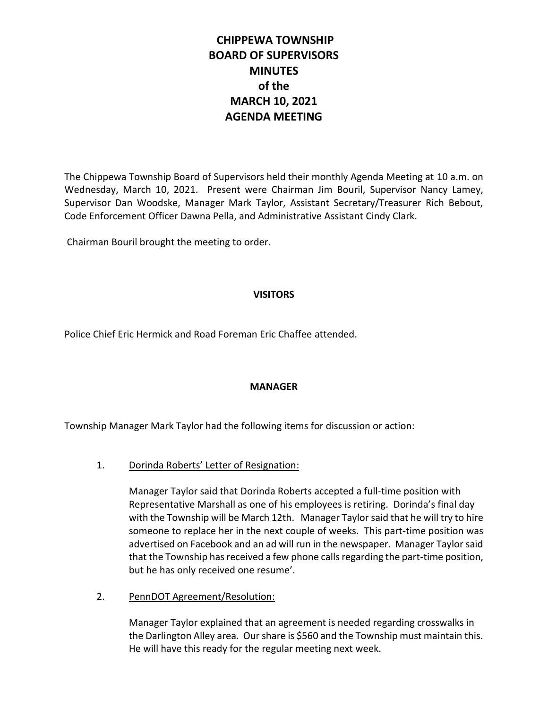# **CHIPPEWA TOWNSHIP BOARD OF SUPERVISORS MINUTES of the MARCH 10, 2021 AGENDA MEETING**

The Chippewa Township Board of Supervisors held their monthly Agenda Meeting at 10 a.m. on Wednesday, March 10, 2021. Present were Chairman Jim Bouril, Supervisor Nancy Lamey, Supervisor Dan Woodske, Manager Mark Taylor, Assistant Secretary/Treasurer Rich Bebout, Code Enforcement Officer Dawna Pella, and Administrative Assistant Cindy Clark.

Chairman Bouril brought the meeting to order.

# **VISITORS**

Police Chief Eric Hermick and Road Foreman Eric Chaffee attended.

# **MANAGER**

Township Manager Mark Taylor had the following items for discussion or action:

# 1. Dorinda Roberts' Letter of Resignation:

Manager Taylor said that Dorinda Roberts accepted a full-time position with Representative Marshall as one of his employees is retiring. Dorinda's final day with the Township will be March 12th. Manager Taylor said that he will try to hire someone to replace her in the next couple of weeks. This part-time position was advertised on Facebook and an ad will run in the newspaper. Manager Taylor said that the Township has received a few phone callsregarding the part-time position, but he has only received one resume'.

2. PennDOT Agreement/Resolution:

Manager Taylor explained that an agreement is needed regarding crosswalks in the Darlington Alley area. Our share is \$560 and the Township must maintain this. He will have this ready for the regular meeting next week.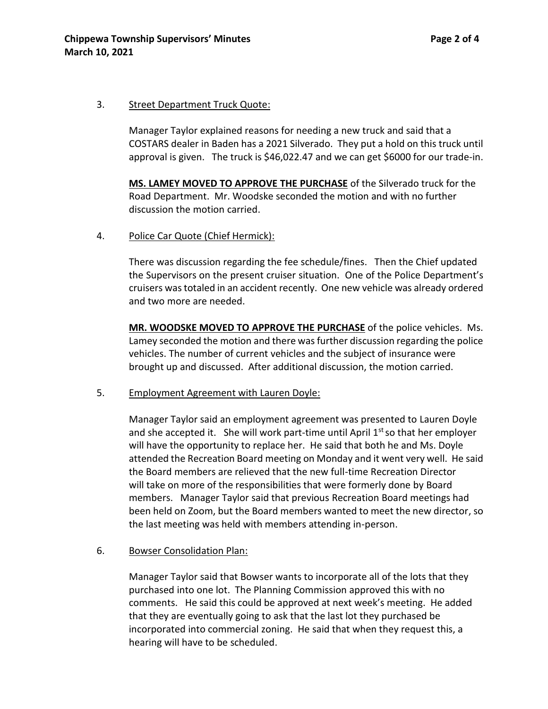#### 3. Street Department Truck Quote:

Manager Taylor explained reasons for needing a new truck and said that a COSTARS dealer in Baden has a 2021 Silverado. They put a hold on this truck until approval is given. The truck is \$46,022.47 and we can get \$6000 for our trade-in.

**MS. LAMEY MOVED TO APPROVE THE PURCHASE** of the Silverado truck for the Road Department. Mr. Woodske seconded the motion and with no further discussion the motion carried.

4. Police Car Quote (Chief Hermick):

There was discussion regarding the fee schedule/fines. Then the Chief updated the Supervisors on the present cruiser situation. One of the Police Department's cruisers was totaled in an accident recently. One new vehicle was already ordered and two more are needed.

**MR. WOODSKE MOVED TO APPROVE THE PURCHASE** of the police vehicles. Ms. Lamey seconded the motion and there was further discussion regarding the police vehicles. The number of current vehicles and the subject of insurance were brought up and discussed. After additional discussion, the motion carried.

5. Employment Agreement with Lauren Doyle:

Manager Taylor said an employment agreement was presented to Lauren Doyle and she accepted it. She will work part-time until April  $1<sup>st</sup>$  so that her employer will have the opportunity to replace her. He said that both he and Ms. Doyle attended the Recreation Board meeting on Monday and it went very well. He said the Board members are relieved that the new full-time Recreation Director will take on more of the responsibilities that were formerly done by Board members. Manager Taylor said that previous Recreation Board meetings had been held on Zoom, but the Board members wanted to meet the new director, so the last meeting was held with members attending in-person.

6. Bowser Consolidation Plan:

Manager Taylor said that Bowser wants to incorporate all of the lots that they purchased into one lot. The Planning Commission approved this with no comments. He said this could be approved at next week's meeting. He added that they are eventually going to ask that the last lot they purchased be incorporated into commercial zoning. He said that when they request this, a hearing will have to be scheduled.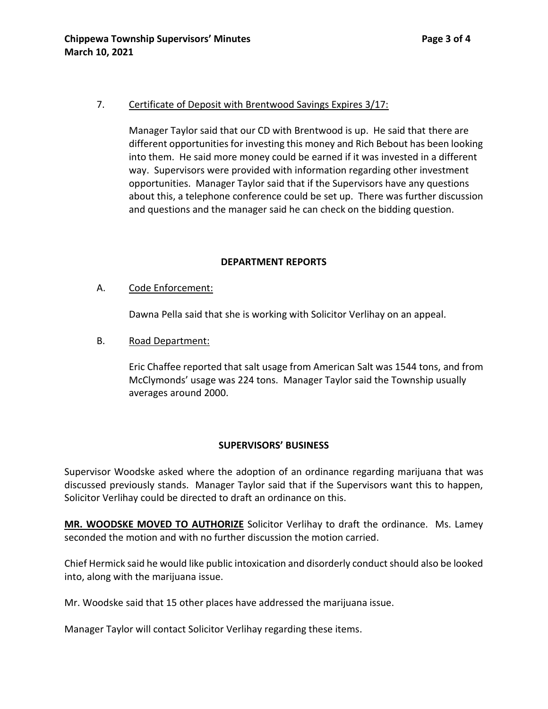# 7. Certificate of Deposit with Brentwood Savings Expires 3/17:

Manager Taylor said that our CD with Brentwood is up. He said that there are different opportunities for investing this money and Rich Bebout has been looking into them. He said more money could be earned if it was invested in a different way. Supervisors were provided with information regarding other investment opportunities. Manager Taylor said that if the Supervisors have any questions about this, a telephone conference could be set up. There was further discussion and questions and the manager said he can check on the bidding question.

# **DEPARTMENT REPORTS**

# A. Code Enforcement:

Dawna Pella said that she is working with Solicitor Verlihay on an appeal.

# B. Road Department:

Eric Chaffee reported that salt usage from American Salt was 1544 tons, and from McClymonds' usage was 224 tons. Manager Taylor said the Township usually averages around 2000.

# **SUPERVISORS' BUSINESS**

Supervisor Woodske asked where the adoption of an ordinance regarding marijuana that was discussed previously stands. Manager Taylor said that if the Supervisors want this to happen, Solicitor Verlihay could be directed to draft an ordinance on this.

**MR. WOODSKE MOVED TO AUTHORIZE** Solicitor Verlihay to draft the ordinance. Ms. Lamey seconded the motion and with no further discussion the motion carried.

Chief Hermick said he would like public intoxication and disorderly conduct should also be looked into, along with the marijuana issue.

Mr. Woodske said that 15 other places have addressed the marijuana issue.

Manager Taylor will contact Solicitor Verlihay regarding these items.